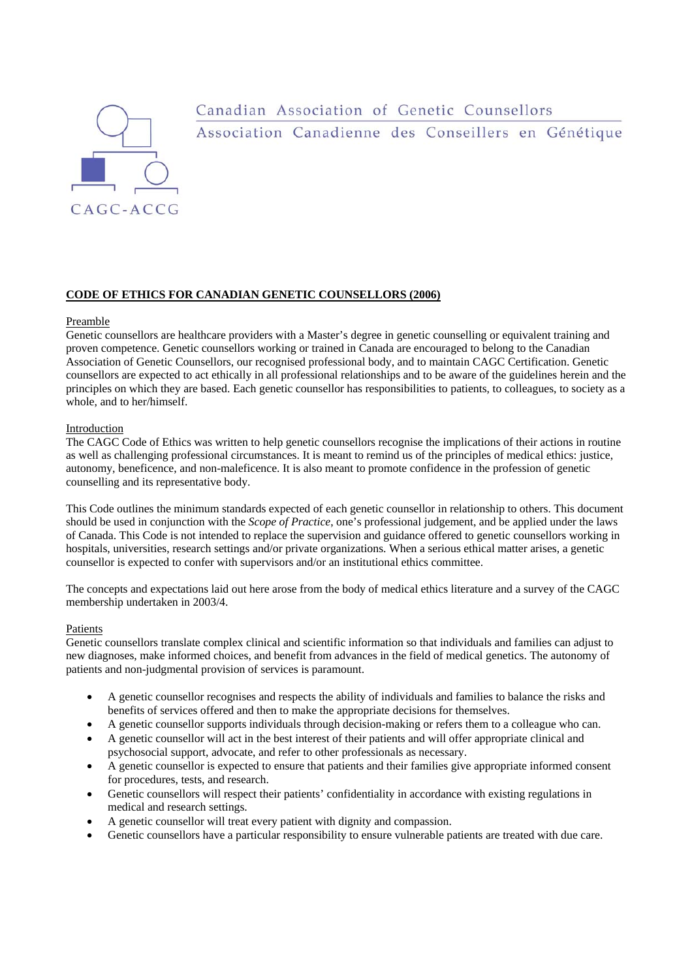

# Canadian Association of Genetic Counsellors Association Canadienne des Conseillers en Génétique

# **CODE OF ETHICS FOR CANADIAN GENETIC COUNSELLORS (2006)**

## Preamble

Genetic counsellors are healthcare providers with a Master's degree in genetic counselling or equivalent training and proven competence. Genetic counsellors working or trained in Canada are encouraged to belong to the Canadian Association of Genetic Counsellors, our recognised professional body, and to maintain CAGC Certification. Genetic counsellors are expected to act ethically in all professional relationships and to be aware of the guidelines herein and the principles on which they are based. Each genetic counsellor has responsibilities to patients, to colleagues, to society as a whole, and to her/himself.

## Introduction

The CAGC Code of Ethics was written to help genetic counsellors recognise the implications of their actions in routine as well as challenging professional circumstances. It is meant to remind us of the principles of medical ethics: justice, autonomy, beneficence, and non-maleficence. It is also meant to promote confidence in the profession of genetic counselling and its representative body.

This Code outlines the minimum standards expected of each genetic counsellor in relationship to others. This document should be used in conjunction with the *Scope of Practice*, one's professional judgement, and be applied under the laws of Canada. This Code is not intended to replace the supervision and guidance offered to genetic counsellors working in hospitals, universities, research settings and/or private organizations. When a serious ethical matter arises, a genetic counsellor is expected to confer with supervisors and/or an institutional ethics committee.

The concepts and expectations laid out here arose from the body of medical ethics literature and a survey of the CAGC membership undertaken in 2003/4.

#### Patients

Genetic counsellors translate complex clinical and scientific information so that individuals and families can adjust to new diagnoses, make informed choices, and benefit from advances in the field of medical genetics. The autonomy of patients and non-judgmental provision of services is paramount.

- A genetic counsellor recognises and respects the ability of individuals and families to balance the risks and benefits of services offered and then to make the appropriate decisions for themselves.
- A genetic counsellor supports individuals through decision-making or refers them to a colleague who can.
- A genetic counsellor will act in the best interest of their patients and will offer appropriate clinical and psychosocial support, advocate, and refer to other professionals as necessary.
- A genetic counsellor is expected to ensure that patients and their families give appropriate informed consent for procedures, tests, and research.
- Genetic counsellors will respect their patients' confidentiality in accordance with existing regulations in medical and research settings.
- A genetic counsellor will treat every patient with dignity and compassion.
- Genetic counsellors have a particular responsibility to ensure vulnerable patients are treated with due care.